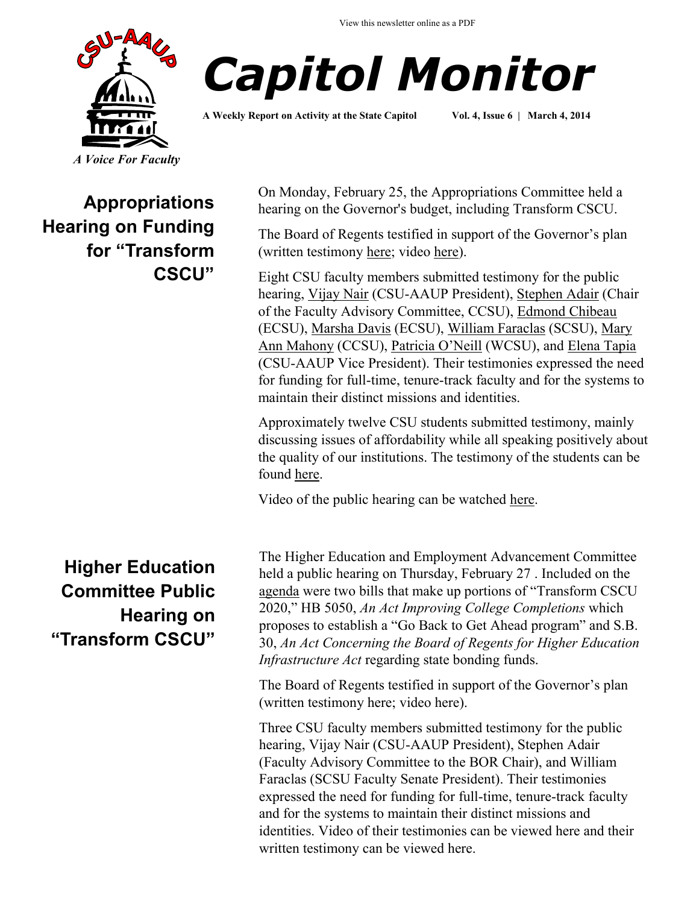



**A Weekly Report on Activity at the State Capitol Vol. 4, Issue 6 | March 4, 2014**

## **Appropriations Hearing on Funding for "Transform CSCU"**

**Higher Education Committee Public Hearing on "Transform CSCU"**

On Monday, February 25, the Appropriations Committee held a hearing on the Governor's budget, including Transform CSCU.

The Board of Regents testified in support of the Governor's plan (written testimony [here;](http://www.cga.ct.gov/2014/APPdata/Tmy/2014HB-05030-R000224-BOR%20-%20CCSU%20-%20Gray,%20Dr.%20Gregory-TMY.PDF) video [here\)](http://www.ct-n.com/ctnplayer.asp?odID=9966).

Eight CSU faculty members submitted testimony for the public hearing, [Vijay Nair](http://www.cga.ct.gov/2014/APPdata/Tmy/2014HB-05030-R000224-BOR%20-%20CSU-AAUP%20-%20Nair,%20Vijay-TMY.PDF) (CSU-AAUP President), [Stephen Adair](http://www.cga.ct.gov/2014/APPdata/Tmy/2014HB-05030-R000224-BOR%20-%20CCSU%20-%20Adair,%20Stephen-TMY.PDF) (Chair of the Faculty Advisory Committee, CCSU), [Edmond Chibeau](http://www.cga.ct.gov/2014/APPdata/Tmy/2014HB-05030-R000224-BOR%20-%20ECSU%20-%20Chibeau,%20Edmond-TMY.PDF) (ECSU), [Marsha Davis](http://www.cga.ct.gov/2014/APPdata/Tmy/2014HB-05030-R000224-BOR%20-%20ECSU%20-%20Davis,%20Dr.%20Marsha-TMY.PDF) (ECSU), [William Faraclas](http://www.cga.ct.gov/2014/APPdata/Tmy/2014HB-05030-R000224-BOR%20-%20SCSU%20-%20Faraclas,%20William-TMY.PDF) (SCSU), [Mary](http://www.cga.ct.gov/2014/APPdata/Tmy/2014HB-05030-R000224-BOR%20-%20CCSU%20-%20Mahony,%20Mary%20Ann-TMY.PDF)  [Ann Mahony](http://www.cga.ct.gov/2014/APPdata/Tmy/2014HB-05030-R000224-BOR%20-%20CCSU%20-%20Mahony,%20Mary%20Ann-TMY.PDF) (CCSU), [Patricia O'Neill](http://www.cga.ct.gov/2014/APPdata/Tmy/2014HB-05030-R000224-BOR%20-%20WCSU%20-%20WCSU-AAUP%20-%20O) (WCSU), and [Elena Tapia](http://www.cga.ct.gov/2014/APPdata/Tmy/2014HB-05030-R000224-BOR%20-%20CSU-AAUP,%20ECSU%20-%20Tapia,%20Elena-TMY.PDF) (CSU-AAUP Vice President). Their testimonies expressed the need for funding for full-time, tenure-track faculty and for the systems to maintain their distinct missions and identities.

Approximately twelve CSU students submitted testimony, mainly discussing issues of affordability while all speaking positively about the quality of our institutions. The testimony of the students can be found [here.](http://www.cga.ct.gov/asp/menu/CommDocTmy.asp?comm_code=APP&date=02/24/2014)

Video of the public hearing can be watched [here.](http://www.ct-n.com/ctnplayer.asp?odID=9968) 

The Higher Education and Employment Advancement Committee held a public hearing on Thursday, February 27 . Included on the [agenda](http://www.cga.ct.gov/2014/HEDdata/pha/2014PHA00227-R001030HED-PHA.htm) were two bills that make up portions of "Transform CSCU 2020," HB 5050, *An Act Improving College Completions* which proposes to establish a "Go Back to Get Ahead program" and S.B. 30, *An Act Concerning the Board of Regents for Higher Education Infrastructure Act* regarding state bonding funds.

The Board of Regents testified in support of the Governor's plan (written testimony here; video here).

Three CSU faculty members submitted testimony for the public hearing, Vijay Nair (CSU-AAUP President), Stephen Adair (Faculty Advisory Committee to the BOR Chair), and William Faraclas (SCSU Faculty Senate President). Their testimonies expressed the need for funding for full-time, tenure-track faculty and for the systems to maintain their distinct missions and identities. Video of their testimonies can be viewed here and their written testimony can be viewed here.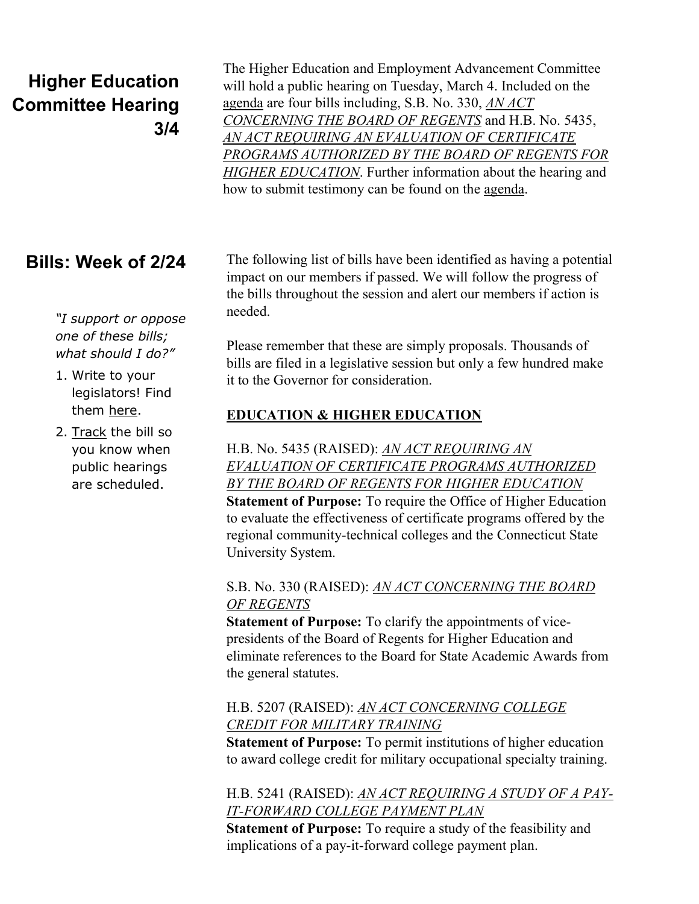# **Higher Education Committee Hearing 3/4**

The Higher Education and Employment Advancement Committee will hold a public hearing on Tuesday, March 4. Included on the [agenda](http://www.cga.ct.gov/2014/HEDdata/pha/2014PHA00304-R001100HED-PHA.htm) are four bills including, S.B. No. 330, *[AN ACT](http://www.cga.ct.gov/asp/cgabillstatus/cgabillstatus.asp?selBillType=Bill&bill_num=SB00330&which_year=2014)  [CONCERNING THE BOARD OF REGENTS](http://www.cga.ct.gov/asp/cgabillstatus/cgabillstatus.asp?selBillType=Bill&bill_num=SB00330&which_year=2014)* and H.B. No. 5435, *[AN ACT REQUIRING AN EVALUATION OF CERTIFICATE](http://www.cga.ct.gov/asp/cgabillstatus/cgabillstatus.asp?selBillType=Bill&bill_num=HB05435&which_year=2014)  [PROGRAMS AUTHORIZED BY THE BOARD OF REGENTS FOR](http://www.cga.ct.gov/asp/cgabillstatus/cgabillstatus.asp?selBillType=Bill&bill_num=HB05435&which_year=2014)  [HIGHER EDUCATION](http://www.cga.ct.gov/asp/cgabillstatus/cgabillstatus.asp?selBillType=Bill&bill_num=HB05435&which_year=2014)*. Further information about the hearing and how to submit testimony can be found on the [agenda.](http://www.cga.ct.gov/2014/HEDdata/pha/2014PHA00304-R001100HED-PHA.htm) 

## **Bills: Week of 2/24**

*"I support or oppose one of these bills; what should I do?"*

#### 1. Write to your legislators! Find them [here.](http://www.cga.ct.gov/asp/menu/CGAFindLeg.asp)

2. [Track](http://www.cga.ct.gov/aspx/CGAPublicBillTrack/Register.aspx) the bill so you know when public hearings are scheduled.

The following list of bills have been identified as having a potential impact on our members if passed. We will follow the progress of the bills throughout the session and alert our members if action is needed.

Please remember that these are simply proposals. Thousands of bills are filed in a legislative session but only a few hundred make it to the Governor for consideration.

### **EDUCATION & HIGHER EDUCATION**

H.B. No. 5435 (RAISED): *[AN ACT REQUIRING AN](http://www.cga.ct.gov/asp/cgabillstatus/cgabillstatus.asp?selBillType=Bill&bill_num=HB05435&which_year=2014)  [EVALUATION OF CERTIFICATE PROGRAMS AUTHORIZED](http://www.cga.ct.gov/asp/cgabillstatus/cgabillstatus.asp?selBillType=Bill&bill_num=HB05435&which_year=2014)  [BY THE BOARD OF REGENTS FOR HIGHER EDUCATION](http://www.cga.ct.gov/asp/cgabillstatus/cgabillstatus.asp?selBillType=Bill&bill_num=HB05435&which_year=2014)* **Statement of Purpose:** To require the Office of Higher Education to evaluate the effectiveness of certificate programs offered by the regional community-technical colleges and the Connecticut State University System.

#### S.B. No. 330 (RAISED): *[AN ACT CONCERNING THE BOARD](http://www.cga.ct.gov/asp/cgabillstatus/cgabillstatus.asp?selBillType=Bill&bill_num=SB00330&which_year=2014)  [OF REGENTS](http://www.cga.ct.gov/asp/cgabillstatus/cgabillstatus.asp?selBillType=Bill&bill_num=SB00330&which_year=2014)*

**Statement of Purpose:** To clarify the appointments of vicepresidents of the Board of Regents for Higher Education and eliminate references to the Board for State Academic Awards from the general statutes.

### H.B. 5207 (RAISED): *[AN ACT CONCERNING COLLEGE](http://www.cga.ct.gov/asp/cgabillstatus/cgabillstatus.asp?selBillType=Bill&bill_num=HB05207&which_year=2014)  [CREDIT FOR MILITARY TRAINING](http://www.cga.ct.gov/asp/cgabillstatus/cgabillstatus.asp?selBillType=Bill&bill_num=HB05207&which_year=2014)*

**Statement of Purpose:** To permit institutions of higher education to award college credit for military occupational specialty training.

#### H.B. 5241 (RAISED): *[AN ACT REQUIRING A STUDY OF A PAY-](http://www.cga.ct.gov/asp/cgabillstatus/cgabillstatus.asp?selBillType=Bill&bill_num=HB05241&which_year=2014)[IT-FORWARD COLLEGE PAYMENT PLAN](http://www.cga.ct.gov/asp/cgabillstatus/cgabillstatus.asp?selBillType=Bill&bill_num=HB05241&which_year=2014)*

**Statement of Purpose:** To require a study of the feasibility and implications of a pay-it-forward college payment plan.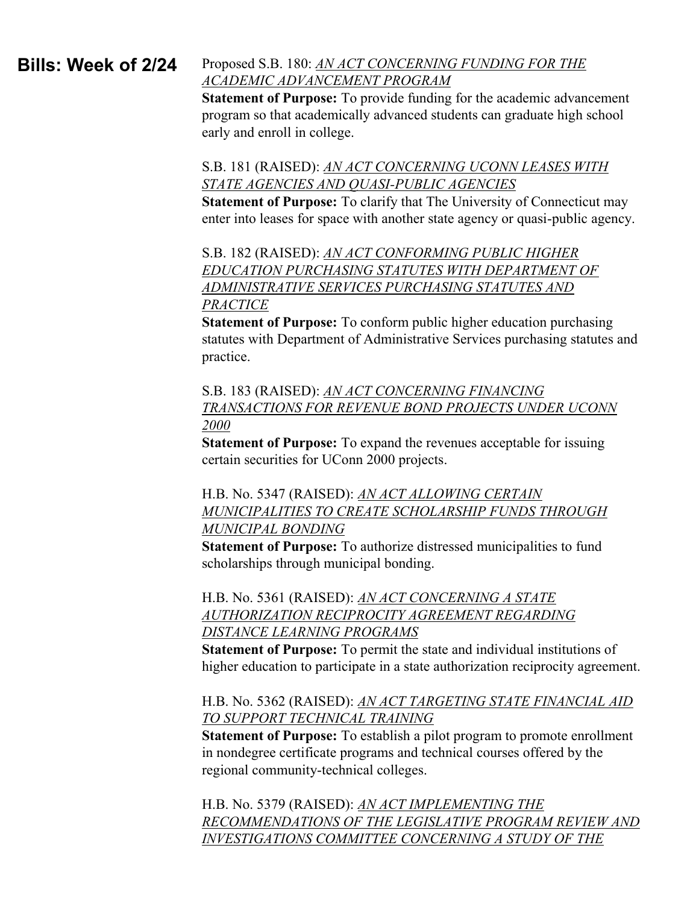#### Proposed S.B. 180: *[AN ACT CONCERNING FUNDING FOR THE](http://www.cga.ct.gov/asp/cgabillstatus/cgabillstatus.asp?selBillType=Bill&bill_num=SB00180&which_year=2014)  [ACADEMIC ADVANCEMENT PROGRAM](http://www.cga.ct.gov/asp/cgabillstatus/cgabillstatus.asp?selBillType=Bill&bill_num=SB00180&which_year=2014)* **Bills: Week of 2/24**

**Statement of Purpose:** To provide funding for the academic advancement program so that academically advanced students can graduate high school early and enroll in college.

#### S.B. 181 (RAISED): *[AN ACT CONCERNING UCONN LEASES WITH](http://www.cga.ct.gov/asp/cgabillstatus/cgabillstatus.asp?selBillType=Bill&bill_num=SB00181&which_year=2014)  [STATE AGENCIES AND QUASI-PUBLIC AGENCIES](http://www.cga.ct.gov/asp/cgabillstatus/cgabillstatus.asp?selBillType=Bill&bill_num=SB00181&which_year=2014)*

**Statement of Purpose:** To clarify that The University of Connecticut may enter into leases for space with another state agency or quasi-public agency.

S.B. 182 (RAISED): *[AN ACT CONFORMING PUBLIC HIGHER](http://www.cga.ct.gov/asp/cgabillstatus/cgabillstatus.asp?selBillType=Bill&bill_num=SB00182&which_year=2014)  [EDUCATION PURCHASING STATUTES WITH DEPARTMENT OF](http://www.cga.ct.gov/asp/cgabillstatus/cgabillstatus.asp?selBillType=Bill&bill_num=SB00182&which_year=2014)  [ADMINISTRATIVE SERVICES PURCHASING STATUTES AND](http://www.cga.ct.gov/asp/cgabillstatus/cgabillstatus.asp?selBillType=Bill&bill_num=SB00182&which_year=2014)  [PRACTICE](http://www.cga.ct.gov/asp/cgabillstatus/cgabillstatus.asp?selBillType=Bill&bill_num=SB00182&which_year=2014)*

**Statement of Purpose:** To conform public higher education purchasing statutes with Department of Administrative Services purchasing statutes and practice.

S.B. 183 (RAISED): *[AN ACT CONCERNING FINANCING](http://www.cga.ct.gov/asp/cgabillstatus/cgabillstatus.asp?selBillType=Bill&bill_num=SB00183&which_year=2014)  [TRANSACTIONS FOR REVENUE BOND PROJECTS UNDER UCONN](http://www.cga.ct.gov/asp/cgabillstatus/cgabillstatus.asp?selBillType=Bill&bill_num=SB00183&which_year=2014)  [2000](http://www.cga.ct.gov/asp/cgabillstatus/cgabillstatus.asp?selBillType=Bill&bill_num=SB00183&which_year=2014)*

**Statement of Purpose:** To expand the revenues acceptable for issuing certain securities for UConn 2000 projects.

H.B. No. 5347 (RAISED): *[AN ACT ALLOWING CERTAIN](http://www.cga.ct.gov/asp/cgabillstatus/cgabillstatus.asp?selBillType=Bill&bill_num=HB05347&which_year=2014)  [MUNICIPALITIES TO CREATE SCHOLARSHIP FUNDS THROUGH](http://www.cga.ct.gov/asp/cgabillstatus/cgabillstatus.asp?selBillType=Bill&bill_num=HB05347&which_year=2014)  [MUNICIPAL BONDING](http://www.cga.ct.gov/asp/cgabillstatus/cgabillstatus.asp?selBillType=Bill&bill_num=HB05347&which_year=2014)*

**Statement of Purpose:** To authorize distressed municipalities to fund scholarships through municipal bonding.

#### H.B. No. 5361 (RAISED): *[AN ACT CONCERNING A STATE](http://www.cga.ct.gov/asp/cgabillstatus/cgabillstatus.asp?selBillType=Bill&bill_num=HB05361&which_year=2014)  [AUTHORIZATION RECIPROCITY AGREEMENT REGARDING](http://www.cga.ct.gov/asp/cgabillstatus/cgabillstatus.asp?selBillType=Bill&bill_num=HB05361&which_year=2014)  [DISTANCE LEARNING PROGRAMS](http://www.cga.ct.gov/asp/cgabillstatus/cgabillstatus.asp?selBillType=Bill&bill_num=HB05361&which_year=2014)*

**Statement of Purpose:** To permit the state and individual institutions of higher education to participate in a state authorization reciprocity agreement.

#### H.B. No. 5362 (RAISED): *[AN ACT TARGETING STATE FINANCIAL AID](http://www.cga.ct.gov/asp/cgabillstatus/cgabillstatus.asp?selBillType=Bill&bill_num=HB05362&which_year=2014)  [TO SUPPORT TECHNICAL TRAINING](http://www.cga.ct.gov/asp/cgabillstatus/cgabillstatus.asp?selBillType=Bill&bill_num=HB05362&which_year=2014)*

**Statement of Purpose:** To establish a pilot program to promote enrollment in nondegree certificate programs and technical courses offered by the regional community-technical colleges.

H.B. No. 5379 (RAISED): *[AN ACT IMPLEMENTING THE](http://www.cga.ct.gov/asp/cgabillstatus/cgabillstatus.asp?selBillType=Bill&bill_num=HB05379&which_year=2014)  [RECOMMENDATIONS OF THE LEGISLATIVE PROGRAM REVIEW AND](http://www.cga.ct.gov/asp/cgabillstatus/cgabillstatus.asp?selBillType=Bill&bill_num=HB05379&which_year=2014)  [INVESTIGATIONS COMMITTEE CONCERNING A STUDY OF THE](http://www.cga.ct.gov/asp/cgabillstatus/cgabillstatus.asp?selBillType=Bill&bill_num=HB05379&which_year=2014)*